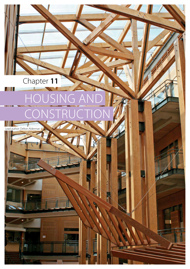# Chapter **11** HOUSING AND CONSTRUCTION

d author: Delton Alderman

ø

H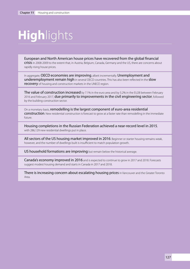# **High**lights

European and North American house prices have recovered from the global financial crisis in 2008-2009 to the extent that, in Austria, Belgium, Canada, Germany and the US, there are concerns about rapidly rising house prices.

In aggregate, OECD economies are improving, albeit incrementally. Unemployment and underemployment remain high in several OECD countries. This has also been reflected in the slow recovery of housing and construction markets in the UNECE region.

The value of construction increased by 7.1% in the euro area and by 5.2% in the EU28 between February 2016 and February 2017, due primarily to improvements in the civil engineering sector, followed by the building construction sector.

On a monetary basis, remodelling is the largest component of euro-area residential construction. New residential construction is forecast to grow at a faster rate than remodelling in the immediate future.

Housing completions in the Russian Federation achieved a near-record level in 2015, with 286,129 new residential dwellings put in place.

All sectors of the US housing market improved in 2016. Beginner or starter housing remains weak. however, and the number of dwellings built is insufficient to match population growth.

US household formations are improving but remain below the historical average.

Canada's economy improved in 2016 and is expected to continue to grow in 2017 and 2018. Forecasts suggest modest housing demand and starts in Canada in 2017 and 2018.

There is increasing concern about escalating housing prices in Vancouver and the Greater Toronto Area.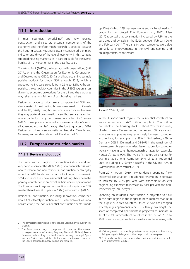# **11.1 Introduction**

In most countries, remodelling $21$  and new housing construction and sales are essential components of the economy, and therefore much research is directed towards the housing sector. Housing is usually considered a primary indicator and driver of the overall economy. In this context, subdued housing markets are, in part, culpable for the overall fragility of many economies in the past few years.

The World Bank (2017a), the International Monetary Fund (IMF, 2017a, b) and the Organisation for Economic Co-operation and Development (OECD, 2017a, b) all project an increasingly positive outlook for global GDP through 2019, which is expected to increase steadily from 2.5% to 3.5%. Although positive, the outlook for countries in the UNECE region is less dynamic; economic projections for the US and the euro area may reflect the sluggishness of past housing markets.

Residential property prices are a component of GDP and also a metric for estimating homeowner wealth. In Canada and the US, briskly rising house prices are a concern because they may portend overvaluation – and houses are becoming unaffordable for many consumers. According to Szemere (2017), house prices continued to increase rapidly in "almost all advanced economies" through the fourth quarter of 2016. Residential prices rose robustly in Australia, Canada and Germany and moderately in the UK and in the US.

## **11.2 European construction market**

#### **11.2.1 Review and outlook**

The Euroconstruct<sup>22</sup> region's construction industry endured very harsh years after the 2008-2009 global financial crisis, with new residential and non-residential construction declining by more than 40%. Total construction output began to increase in 2014 and, since then, new residential buildings have been the primary contributor to an overall (albeit weak) improvement. The Euroconstruct region's construction industry is now 25% smaller than it was at its peak in 2007 (Euroconstruct (2017).

Residential construction, including renovation, comprised about 47% of total production in 2016 (of which 42% was new construction); the non-residential construction sector made

22 The Euroconstruct region comprises 19 countries. The western subregion consists of Austria, Belgium, Denmark, Finland, France, Germany, Ireland, Italy, the Netherlands, Norway, Portugal, Spain, Sweden, Switzerland and the UK. The eastern subregion comprises the Czech Republic, Hungary, Poland and Slovakia.

up 32% (of which 17% was new work); and civil engineering<sup>23</sup> production constituted 21% (Euroconstruct, 2017). Allen (2017) reported that construction increased by 7.1% in the euro area and by 5.2% in the EU28 between February 2016 and February 2017. The gains in both categories were due primarily to improvements in the civil engineering and building construction sectors.



*Source:* E. O'Driscoll, 2017.

In the Euroconstruct region, the residential construction sector serves about 472 million people in 206 million households. The housing stock is about 233 million units, of which nearly 8% are second homes and 6% are vacant. Homeownership rates vary extensively between countries and regions; for example, it is 38% in Switzerland, 45% in Germany, 50% in Denmark and 54-80% in the remainder of the western subregion countries. Eastern subregion countries typically have greater homeownership rates; for example, Hungary's rate is 90%. The type of structure also varies; for example, apartments comprise 24% of total residential units (including  $1+2$  family houses<sup>24</sup>) in the UK and 77% in Switzerland (Euroconstruct, 2017).

From 2017 through 2019, new residential spending (new residential construction + residential renovation) is forecast to increase by 2.6% per year, with expenditure on civil engineering expected to increase by 3.1% per year and nonresidential by 1.9% per year.

Spending on residential construction is projected to slow in the euro region in the longer term as markets mature in the largest euro-area countries. Structure type has changed recently (e.g. apparments versus 1+2 family dwellings). The share of completed apartments is projected to increase in 12 of the 19 Euroconstruct countries in the period 2016 to 2019. New housing completions are forecast to increase, with

<sup>21</sup> The terms remodelling and renovation are used synonymously in this chapter.

<sup>23</sup> Civil engineering includes large infrastructure projects such as roads, bridges, large buildings and other large public service projects.

<sup>24</sup> 1+2 family dwellings are detached or semidetached single or multiunit structures for families.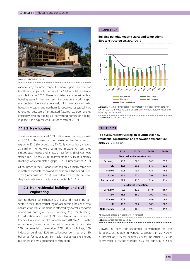

*Source:* UNECE/FAO, 2017.

variations by country. France, Germany, Spain, Sweden and the UK are projected to account for 59% of total residential completions in 2017. These countries are forecast to lead housing starts in the near term. Renovation is a bright spot – especially due to the relatively high inventory of older houses in western and northern Europe. Houses typically are renovated because of antiquated fixtures; i.e. poor energy efficiency; fashion; ageing (i.e. converting homes for "ageingin-place"); and typical repairs (Euroconstruct, 2017).

## **11.2.2 New housing**

There were an estimated 1.59 million new housing permits and 1.22 million new housing starts in the Euroconstruct region in 2016 (Euroconstruct, 2017). By comparison, a record 2.78 million homes were permitted in 2006. An estimated 688,000 apartments and 518,000 1+2 family dwellings were started in 2016, and 796,000 apartments and 674,000 1+2 family dwellings were completed (graph 11.2.1) (Euroconstruct, 2017).

Of countries in the Euroconstruct region, Germany ranks first in both new construction and renovation in the period 2016- 2019 (Euroconstruct, 2017). Switzerland makes the top five, despite its relatively small population (table 11.2.1).

## **11.2.3 Non-residential buildings and civil engineering**

Non-residential construction is the second most important sector in the Euroconstruct region, accounting for 32% of total construction value. Demand is affected by overall economic conditions and government funding (e.g. for buildings for education and health). Non-residential construction is forecast to expand by 1.9% annually from 2017 to 2019. In the same period, construction output is projected to comprise 20% commercial construction; 17% office buildings; 16% industrial buildings; 12% miscellaneous construction; 13% buildings for education; 8% health buildings; 8% storage buildings; and 6% agricultural construction.

## **GRAPH 11.2.1**





*Notes:* FD = family dwellings; e = estimate; f = forecast. Permit data for UK not available. Housing starts of Germany, Netherlands, Portugal, and Hungary not included.

*Sources:* Euroconstruct, 2012, 2017.

#### **TABLE 11.2.1**

## **Top five Euroconstruct region countries for new residential construction and renovation expenditure, 2016-2019** (€ billion)

|                               | 2016  | 2017e | 2018f | 2019f |  |  |
|-------------------------------|-------|-------|-------|-------|--|--|
| New residential construction  |       |       |       |       |  |  |
| Germany                       | 58.2  | 62.9  | 64.7  | 65.1  |  |  |
| <b>UK</b>                     | 48.3  | 50.5  | 51.7  | 52.6  |  |  |
| <b>France</b>                 | 39.3  | 43.1  | 45.8  | 46.6  |  |  |
| <b>Spain</b>                  | 25.1  | 27.6  | 29.4  | 30.9  |  |  |
| Switzerland                   | 21.2  | 21.3  | 21.4  | 21.4  |  |  |
| <b>Residential renovation</b> |       |       |       |       |  |  |
| Germany                       | 118.2 | 117.6 | 117.0 | 116.4 |  |  |
| <b>Italy</b>                  | 66.8  | 68.9  | 70.2  | 70.9  |  |  |
| <b>France</b>                 | 60.5  | 62.7  | 64.9  | 66.9  |  |  |
| UK                            | 39.3  | 38.7  | 38.5  | 38.5  |  |  |
| <b>Netherlands</b>            | 18.1  | 18.9  | 19.3  | 19.6  |  |  |
|                               |       |       |       |       |  |  |

*Notes:* 2016 prices; e = estimate; f = forecast. 

*Sources:* Euroconstruct, 2012, 2017.

Growth in new non-residential construction in the Euroconstruct region in various subsectors in 2017-2019 is forecast at 9.1% for health; 7.0% for industrial; 6.0% for commercial; 6.1% for storage; 6.0% for agriculture; 5.8%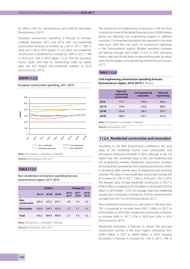for office; 4.2% for miscellaneous; and 2.6% for education (Euroconstruct, 2017).

European construction spending is forecast to increase modestly between 2017 and 2019, with non-residential construction forecast to increase by 2.3% in 2017, 1.8% in 2018 and 1.2% in 2019 (graph 11.2.2). New non-residential construction is predicted to increase by 2.8% in 2017, 1.9% in 2018 and 1.0% in 2019 (table 11.2.2). The UK, Germany, France, Spain and Italy (in descending order, by value) were the five largest non-residential markets in 2016 (Euroconstruct, 2017).

## **GRAPH 11.2.2**

#### European construction spending, 2011-2019



*Notes:* 2016 prices; e = estimate; f = forecast. *Sources:* Euroconstruct, 2012, 2017.

## **TABLE 11.2.2**

Non-residential construction spending forecast, Euroconstruct region, 2017-2019

|                     | $\epsilon$ billion |                   | Change (%) |               |                |               |
|---------------------|--------------------|-------------------|------------|---------------|----------------|---------------|
|                     |                    | 2017e 2018f 2019f |            | 2016-<br>2017 | -2017-<br>2018 | 2018-<br>2019 |
| New<br>construction | 250.4              | 255.2 257.7       |            | 2.8           | 1.9            | 1.0           |
| <b>Renovation</b>   | 225.8              | 229.7             | 233.2      | 1.7           | 1.7            | 1.5           |
| Total               | 476.2              | 484.9             | 490.9      | 2.3           | 1.8            | 1.2           |

*Notes:* 2016 prices; e = estimate; f = forecast.

*Source:* Euroconstruct, 2012, 2017.

The volume of civil engineering construction is still less than it was at the onset of the global financial crisis in 2008. Various factors are affecting civil engineering projects in different countries. Civil engineering output has improved in the euro area since 2009 (the low point of construction spending in the Euroconstruct region). Modest spending increases are forecast through 2019 (table 11.2.3). In 2016, Germany, France, Italy, the UK and Spain (in descending order, by value) were the five largest civil engineering markets (Euroconstruct, 2017).

## **TABLE 11.2.3**

#### **Civil engineering construction spending forecast, Euroconstruct region, 2016-2019** (€ billion)

|       | New civil<br>engineering<br>construction | Civil engineering<br>renovation | <b>Total civil</b><br>engineering |
|-------|------------------------------------------|---------------------------------|-----------------------------------|
| 2016  | 171.7                                    | 130.9                           | 302.6                             |
| 2017e | 174.9                                    | 133.8                           | 308.7                             |
| 2018f | 181.6                                    | 138.1                           | 319.7                             |
| 2019f | 189.5                                    | 141.7                           | 331.2                             |
|       |                                          |                                 |                                   |

*Notes:* 2016 prices;  $e =$  estimate;  $f =$  forecast.

*Source:* Euroconstruct, 2017.

## **11.2.4 Residential construction and renovation**

According to the 83rd Euroconstruct conference, the total value of the residential market (new construction and renovation) improved minimally in 2016, although it was still higher than the combined value of the non-residential and civil engineering markets. Residential construction increases are being driven primarily by new housing construction, which is recovering after several years of stagnating and declining volumes. The value of new residential construction is projected to increase by 3.7% in 2017, 2.4% in 2018 and 1.7% in 2019. The forecast value of total residential construction in 2017 is €706.5 billion, increasing to €723.4 billion in 2018 and to €735.8 billion in 2019 (table 11.2.4). On average, total new residential construction is forecast to increase by 4.1% (in nominal terms) annually from 2017 to 2019 (Euroconstruct, 2017).

New residential construction is a vital sector in the euro area. This is projected to increase from €307.1 billion in 2017 to €325.9 billion in 2019. New residential construction is forecast to increase 6.8% in 2017, 3.7% in 2018 and 2.4% in 2019 (Euroconstruct, 2017).

Residential renovation is forecast to remain the principal construction activity in the euro region, increasing from €399.4 billion in 2017 to €409.9 billion in 2019. Housing renovation is forecast to increase by 1.5% in 2017, 1.4% in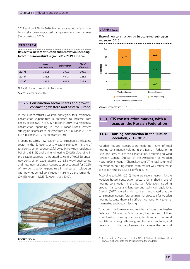2018 and by 1.2% in 2019. Home renovation projects have historically been supported by government programmes (Euroconstruct, 2017).

## **TABLE 11.2.4**

**Residential new construction and renovation spending forecast, Euroconstruct region, 2017-2019** (€ billion)

|       | <b>New</b><br>construction | <b>Renovation</b> | Total<br>residential |
|-------|----------------------------|-------------------|----------------------|
| 2017e | 307.1                      | 399.5             | 706.5                |
| 2018f | 318.3                      | 404.9             | 723.3                |
| 2019f | 325.9                      | 409.9             | 735.8                |

*Notes:*  $2016$  prices:  $e =$  estimate:  $f =$  forecast.

*Source:* Euroconstruct, 2017.

## **11.2.5 Construction sector shares and growth: contrasting western and eastern Europe**

In the Euroconstruct's western subregion, total residential construction expenditure is predicted to increase from €686.0 billion in 2017 to €712.4 billion in 2019. Total residential construction spending in the Euroconstruct's eastern subregion is forecast to increase from €20.5 billion in 2017 to €23.4 billion in 2019 (Euroconstruct, 2017).

In spending terms, new residential construction is the leading sector in the Euroconstruct's western subregion (41.7% of total construction spending), followed by new non-residential building (34.1%) and civil engineering (24.2%). Spending in the eastern subregion amounted to 6.5% of total European new construction expenditure in 2016. New civil engineering and new non-residential construction accounted for 70.2% of new construction expenditure in the eastern subregion, with new residential construction making up the remainder (29.8%) (graph 11.2.3) (Euroconstruct, 2017).



*Source:* AHEC, 2017.

#### **GRAPH 11.2.3**

Share of new construction, by Euroconstruct subregion and sector, 2016



*Source:* Euroconstruct, 2017.

## **11.3 CIS construction market, with a focus on the Russian Federation**

## **11.3.1 Housing construction in the Russian Federation, 2015-2017**

Wooden housing construction made up 15.7% of total housing construction volume in the Russian Federation in 2015 and 35% of low-rise construction, according to Oleg Panitkov, General Director of the Association of Wooden Housing Construction (Chernakov, 2016). The total volume of the wooden housing construction market was estimated at 536 billion roubles (\$8.8 billion<sup>25</sup>) in 2015.

According to Lulkin (2016), there are several reasons for the wooden house construction sector's diminished share of housing construction in the Russian Federation, including product standards and land-use and technical regulations. Gurvich (2017) voiced similar concerns and stated that the construction industry foresees minimal prospects for wooden housing because there is insufficient demand for it to enter the market, and credit is lacking.

To address performance and regulatory issues, the Russian Federation Ministry of Construction, Housing and Utilities is addressing housing standards, land-use and technical regulations, energy efficiency, multi-storey structures, and green construction requirements to increase the demand

<sup>25</sup> Converted to US dollars using the UNECE Statistical Database 2015 annual exchange rate of 60.94 roubles to the US dollar.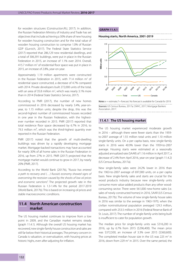for wooden structures (Construction.RU, 2017). In addition, the Russian Federation Ministry of Industry and Trade has set objectives that include achieving a 30% share of new housing for wooden housing construction and for the total value of wooden housing construction to comprise 1.0% of Russian GDP (Gurvich, 2017). The Federal State Statistics Service (2017) reported that 286,129 new residential dwellings, and a total of 306,391 buildings, were put in place in the Russian Federation in 2015, an increase of 1.1% over 2014. Overall, 415.7 million m<sup>2</sup> of residential floor space was put in place in 2015, an increase of 2.8%, year-on-year.

Approximately 1.19 million apartments were constructed in the Russian Federation in 2015, with 71.4 million  $m<sup>2</sup>$  of residential space constructed, a decrease of 4.7% compared with 2014. Private developers built 272,000 units of the total, with an area of 35.8 million  $m^2$ , which was nearly 3.1% more than in 2014 (Federal State Statistics Service, 2017).

According to PMR (2017), the number of new homes commissioned in 2016 decreased by nearly 3.4%, year-onyear, to 1.15 million units; despite the drop, this was the second-highest number of commissioned houses recorded in one year in the Russian Federation, with the highestever number recorded in 2015. PMR (2017) reported that total residence floor space decreased by 6.7% in 2016, to 79.3 million  $m^2$ , which was the third-highest quantity ever reported in the Russian Federation.

PMR (2017) noted that the growth of multi-dwelling buildings was driven by a rapidly developing mortgage market. Mortgage-backed transactions may have accounted for nearly 30% of all home sales in the Russian Federation in 2016, up from 27% in 2015. PMR (2017) projected that the mortgage market would continue to grow in 2017, by nearly 20% (PMR, 2017).

According to the World Bank (2017b), "*Russia has entered a path to recovery and (…) Russia's economy showed signs of overcoming the recession caused by the shocks of low oil prices and economic sanctions*". The projected growth rate in the Russian Federation is 1.3-1.4% for the period 2017-2019 (World Bank, 2017b). This is based on increasing oil prices and stable macroeconomic conditions.

## **11.4 North American construction market**

The US housing market continues to improve from a low point in 2009, and the Canadian market remains steady (graph 11.4.1). Although the overall US housing market has recovered, new single-family house construction and sales are still far below their historical averages. The primary concern in Canada is valuation, or overvaluation, with housing prices at historic highs, even after adjusting for inflation.

#### **GRAPH 11.4.1**



*Notes:*  $e =$  estimate;  $f =$  forecast. No forecast is available for Canada for 2019. *Sources:* US Census Bureau, 2017a; CMHC, 2017; Mortgage Bankers Association, 2017.

## **11.4.1 The US housing market**

The US housing market experienced moderate growth in 2016 – although there were fewer starts than the 1959 to-2007 average of 1.55 million total units and 1.10 million single-family units. On a per capita basis, new single-family starts in 2016 were 40.9% lower than the 1959-to-2007 average. Housing starts were estimated at a seasonally adjusted annualized rate (SAAR) of 1.16 million in April 2017, a decrease of 2.4% from April 2016, year-on-year (graph 11.4.2) (US Census Bureau, 2017a).

New single-family sales were 24.2% lower in 2016 than the 1963-to-2007 average of 697,000 units, on a per capita basis. New single-family sales and starts are crucial for the wood products industry because new single-family units consume more value-added products than any other woodconsuming sector. There were 561,000 new-home sales (i.e. sales of newly constructed homes) in 2016, SAAR (US Census Bureau, 2017b). The volume of new single-family house sales in 2016 was similar to the average in 1963-1970, when the civilian noninstitutional population averaged 129.3 million, compared with 253.5 million in 2016 (Federal Reserve Bank of St. Louis, 2017). The number of single-family units being built is insufficient to cater for population growth.

The median price for single-family units was \$316,200 in 2016, up by 6.7% from 2015 (\$296,400). The mean price was \$372,500, an increase of 3.3% over 2015 (\$360,600). The completed median house size in the US was 225  $m<sup>2</sup>$  in 2016, down from 229  $m<sup>2</sup>$  in 2015. Over the same period, the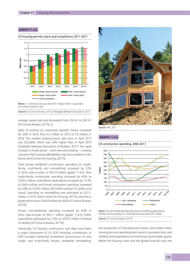#### **GRAPH 11.4.2**

1.4 1.2 1 Million units Million units 0.8 0.6 0.4 0.2  $\mathfrak{g}$ 2011 2012 2013 2014 2015 2016 2017e Single-family permits Multi-family permits Single-family starts **Nulti-family starts** Total completions

US housing permits, starts and completions, 2011-2017

*Notes:* e = estimate (January-April 2017 data); SAAR = seasonally annualized adjusted rate.

*Sources:* US Census Bureau, 2017a; Mortgage Bankers Association, 2017.

average square area also decreased, from 250 m<sup>2</sup> to 245 m<sup>2</sup> (US Census Bureau, 2017b, c).

Sales of existing (i.e. previously owned) homes increased by 3.8% in 2016, from 5.3 million in 2015 to 5.5 million in 2016. The median existing-house sale price in April 2017 was \$252,800, which was 5.8% higher than in April 2016 (\$238,900; National Association of Realtors, 2017). The rapid increase in house prices – both new and existing – is raising concerns that housing affordability may be a problem in the future (Joint Center for Housing, 2017a).

Total private residential construction spending (i.e. singlefamily, multi-family and remodelling) increased by 5.5% in 2016, year-on-year, to \$457.8 million (graph 11.4.3). New single-family construction spending increased by 4.3%, to \$243.0 million; multi-family expenditure increased by 15.7%, to \$60.4 million; and house renovation spending increased by 4.0%, to \$154.4 million (all SAAR; nominal US dollars and euros). Spending on remodelling was estimated at \$221.1 million in 2015 (Joint Center for Housing, 2017b), and this is projected to rise to \$243.0 million by 2020 (US Census Bureau, 2017d).

Private non-residential spending increased by 8.0% in 2016, year-on-year, to \$421.1 million (graph 11.4.3). Public expenditure decreased by 2.2%, to \$279.2 million (nominal US dollars) (US Census Bureau, 2017d).

Historically, US housing construction and sales have been a major component of US GDP. Housing's contribution to GDP includes: residential investment (construction of new single- and multi-family houses, residential remodelling,



*Source:* APA, 2017.

#### **GRAPH 11.4.3**

US construction spending, 2006-2017



*Notes:* \*Private residential spending less remodelling expenditure (SAAR); nominal values; e = estimate (January-April 2017 data). 

*Source:* US Census Bureau, 2017b.

the production of manufactured homes, and brokers' fees); housing services spending (rent, owner's equivalent rent, and utilities); and expenditure on furnishings and durable goods. Before the housing crash and the global financial crisis, the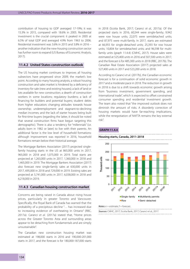contribution of housing to GDP averaged 17-19%; it was 15.3% in 2015, compared with 18.6% in 2005. Residential investment is the crucial component: it peaked in 2005 at 6.5% of total GDP and averaged 4.9% from 1963 to 2006. Residential investment was 3.6% in 2015 and 3.8% in 2016 – another indication that the new-housing construction sector has further room to expand (US Bureau of Economic Analysis, 2017).

## **11.4.2 United States construction outlook**

The US housing market continues to improve; all housing subsectors have progressed since 2009, the market's low point. According to many housing analysts, a robust housing construction and sales market is hindered by a deficiency of inventory for sale (new and existing houses); a lack of land or lots available for new construction; a dearth of construction workers in some locations; regulatory burdens; a lack of financing for builders and potential buyers; student debts from higher education; changing attitudes towards house ownership; underemployment and stagnant-to-declining median incomes; and the lack of starter houses being built for first-time buyers (regarding the latter, it should be noted that several construction firms have begun targeting this demographic). There is also a tendency for "millennials" (i.e. adults born in 1982 or later) to live with their parents. An additional factor is the low level of household formations: although improvement was reported in 2016, household formations remain below their historical average.

The Mortgage Bankers Association (2017) projected singlefamily housing starts in the US at 865,000 units in 2017, 965,000 in 2018 and 1,075,000 in 2019. Total starts are projected at 1,263,000 units in 2017, 1,360,000 in 2018 and 1,465,000 in 2019. The Mortgage Bankers Association (2017) also forecast new single-family sales at 630,000 units in 2017, 695,000 in 2018 and 729,000 in 2019. Existing sales are projected at 5,741,000 units in 2017, 6,038,000 in 2018 and 6,218,000 in 2019.

## **11.4.3 Canadian housing construction market**

Concerns are being raised in Canada about rising house prices, particularly in greater Toronto and Vancouver. Specifically, the Royal Bank of Canada has warned that the probability of a precipitous decline "… has increased due to increasing evidence of overheating in Ontario" (RBC, 2017a). Caranci *et al.* (2017a) stated that, "Home prices across the Greater Toronto Area and surrounding areas appear to be detaching from fundamentals and are simply unsustainable".

The Canadian new construction housing market was estimated at 198,000 starts in 2016 and 190,000-201,000 starts in 2017, and the forecast is for 180,000-187,000 starts

in 2018 (Scotia Bank, 2017; Caranci *et al.*, 2017a). Of the projected starts in 2016, 60,544 were single-family; 9,942 were row house units; 22,075 were semidetached units; and 87,975 were multi-family. In 2017, starts are estimated at 66,955 for single-detached units; 25,393 for row house units; 10,804 for semidetached units; and 96,598 for multifamily units (graph 11.4.4) (CMHC, 2017). House sales were estimated at 525,400 units in 2016 and 507,500 units in 2017, and the forecast is for 485,300 units in 2018 (RBC, 2017b). The Canadian Real Estate Association (2017) projected sales at 527,400 units in 2017 and 523,200 units in 2018.

According to Caranci *et al.* (2017b), the Canadian economic forecast is for a continuation of solid economic growth in 2017 and a moderate pace in 2018. The reduction in growth in 2018 is due to a shift towards economic growth arising from "business investment, government spending, and international trade", which is expected to offset constrained consumer spending and residential investment growth. The team also noted that "the improved outlook does not diminish the amount of risks. A disorderly correction of housing markets would have far-reaching implications, while the renegotiation of NAFTA remains the key external risk".

#### **GRAPH 11.4.4**



**Housing starts, Canada, 2011-2018**

*Sources:* CMHC, 2017; Scotia Bank, 2017; Caranci et al., 2017.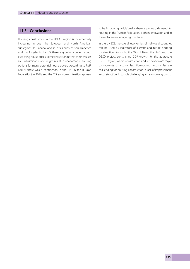# **11.5 Conclusions**

Housing construction in the UNECE region is incrementally increasing in both the European and North American subregions. In Canada, and in cities such as San Francisco and Los Angeles in the US, there is growing concern about escalating house prices. Some analysts think that the increases are unsustainable and might result in unaffordable housing options for many potential house buyers. According to PMR (2017), there was a contraction in the CIS (in the Russian Federation) in 2016, and the CIS economic situation appears

to be improving. Additionally, there is pent-up demand for housing in the Russian Federation, both in renovation and in the replacement of ageing structures.

In the UNECE, the overall economies of individual countries can be used as indicators of current and future housing construction. As such, the World Bank, the IMF, and the OECD project constrained GDP growth for the aggregate UNECE region, where construction and renovation are major components of economies. Slow-growth economies are challenging for housing construction; a lack of improvement in construction, in turn, is challenging for economic growth.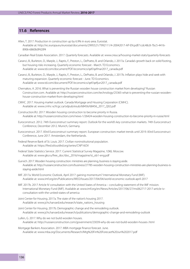## **11.6 References**

Allen, T. 2017. Production in construction up by 6.9% in euro area. Eurostat. Available at: http://ec.europa.eu/eurostat/documents/2995521/7992111/4-20042017-AP-EN.pdf/1cdc48c8-7bc5-4416- 8906-6860b0f420f4

Canadian Real Estate Association. 2017. Quarterly forecasts. Available at: www.crea.ca/housing-market-stats/quarterly-forecasts

- Caranci, B., Burleton, D., Marple, J., Raptis, F., Preston, L., DePratto, B. and Orlando, J. 2017a. Canada's growth back on solid footing, but housing risks increasing. Quarterly economic forecast - March. TD Economics. Available at: www.td.com/document/PDF/economics/qef/qefmar2017\_canada.pdf
- Caranci, B., Burleton, D., Marple, J., Raptis, F., Preston, L., DePratto, B. and Orlando, J. 2017b. Inflation plays hide and seek with maturing expansion. Quarterly economic forecast - June. TD Economics. Available at: www.td.com/document/PDF/economics/qef/qefjun2017\_canada.pdf
- Chernakov, A. 2016. What is preventing the Russian wooden house construction market from developing? Russian Construction.com. Available at: http://russianconstruction.com/technology/25365-what-is-preventing-the-russian-woodenhouse-construction-market-from-developing.html
- CMHC. 2017. Housing market outlook. Canada Mortgage and Housing Corporation (CMHC). Available at: www.cmhc-schl.gc.ca/odpub/esub/68456/68456\_2017\_Q02.pdf
- Construction.RU. 2017. Wooden housing construction to become priority in Russia. Available at: http://russianconstruction.com/news-1/26424-wooden-housing-construction-to-become-priority-in-russia.html
- Euroconstruct. 2012. 74th Euroconstruct summary report. Outlook for the world's key construction markets. 74th Euroconstruct Conference, December 2012. Munich, Germany.
- Euroconstruct. 2017. 83rd Euroconstruct summary report. European construction: market trends until 2019. 83rd Euroconstruct Conference, June 2017. Amsterdam, the Netherlands.
- Federal Reserve Bank of St. Louis. 2017. Civilian noninstitutional population. Available at: https://fred.stlouisfed.org/series/CNP16OV
- Federal State Statistics Service. 2017. Current Statistical Survey Magazine, 1(96). Moscow. Available at: www.gks.ru/free\_doc/doc\_2016/magazine/st\_ob1-eng.pdf
- Gurvich. 2017. Wooden housing construction: ministries are planning, business is staying aside. Available at: http://russianconstruction.com/business/27785-wooden-housing-construction-ministries-are-planning-business-isstaying-aside.html
- IMF. 2017a. World Economic Outlook, April 2017: gaining momentum? International Monetary Fund (IMF). Available at: www.imf.org/en/Publications/WEO/Issues/2017/04/04/world-economic-outlook-april-2017
- IMF. 2017b. 2017 Article IV consultation with the United States of America concluding statement of the IMF mission. International Monetary Fund (IMF). Available at: www.imf.org/en/News/Articles/2017/06/27/ms062717-2017-article-ivconsultation-with-the-united-states-of-america
- Joint Center for Housing. 2017a. The state of the nation's housing 2017. Available at: www.jchs.harvard.edu/research/state\_nations\_housing
- Joint Center for Housing. 2017b. Demographic change and the remodeling outlook. Available at: www.jchs.harvard.edu/research/publications/demographic-change-and-remodeling-outlook
- Lulkin, G. 2017. Why do we not build wooden houses. Available at: http://russianconstruction.com/government/23039-why-do-we-not-build-wooden-houses-.html
- Mortgage Bankers Association. 2017. MBA mortgage finance forecast. June. Available at: www.mba.org/Documents/Research/Mtg%20Fin%20Forecast%20Jun%202017.pdf